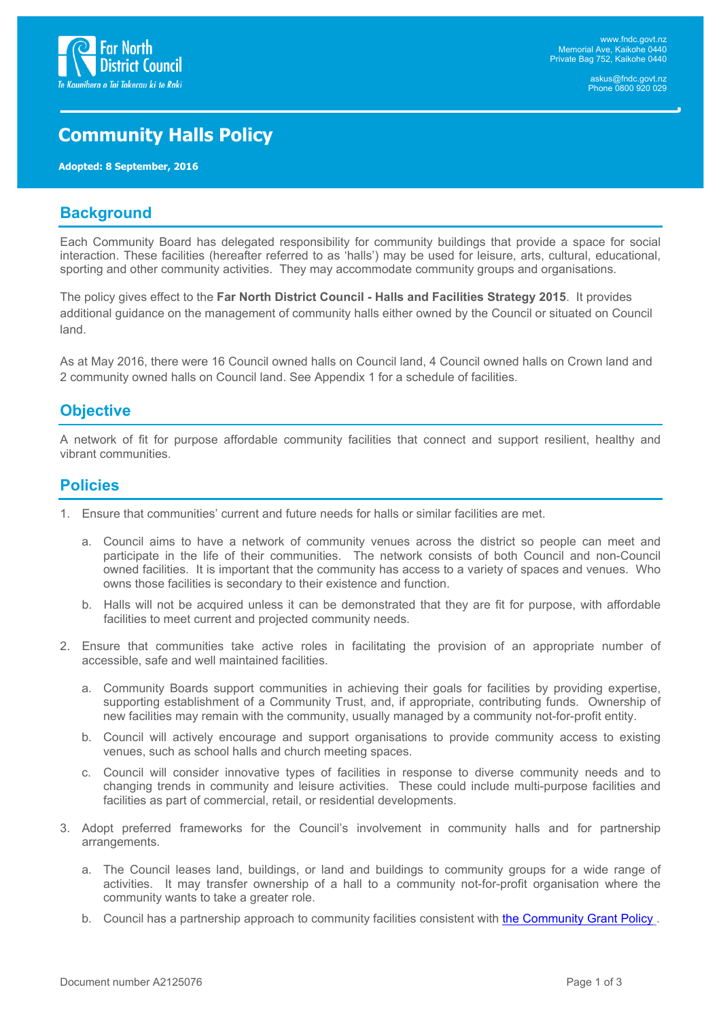

# **Community Halls Policy**

**Adopted: 8 September, 2016**

## **Background**

Each Community Board has delegated responsibility for community buildings that provide a space for social interaction. These facilities (hereafter referred to as 'halls') may be used for leisure, arts, cultural, educational, sporting and other community activities. They may accommodate community groups and organisations.

The policy gives effect to the **Far North District Council - Halls and Facilities Strategy 2015**. It provides additional guidance on the management of community halls either owned by the Council or situated on Council land.

As at May 2016, there were 16 Council owned halls on Council land, 4 Council owned halls on Crown land and 2 community owned halls on Council land. See Appendix 1 for a schedule of facilities.

## **Objective**

A network of fit for purpose affordable community facilities that connect and support resilient, healthy and vibrant communities.

### **Policies**

- 1. Ensure that communities' current and future needs for halls or similar facilities are met.
	- a. Council aims to have a network of community venues across the district so people can meet and participate in the life of their communities. The network consists of both Council and non-Council owned facilities. It is important that the community has access to a variety of spaces and venues. Who owns those facilities is secondary to their existence and function.
	- b. Halls will not be acquired unless it can be demonstrated that they are fit for purpose, with affordable facilities to meet current and projected community needs.
- 2. Ensure that communities take active roles in facilitating the provision of an appropriate number of accessible, safe and well maintained facilities.
	- a. Community Boards support communities in achieving their goals for facilities by providing expertise, supporting establishment of a Community Trust, and, if appropriate, contributing funds. Ownership of new facilities may remain with the community, usually managed by a community not-for-profit entity.
	- b. Council will actively encourage and support organisations to provide community access to existing venues, such as school halls and church meeting spaces.
	- c. Council will consider innovative types of facilities in response to diverse community needs and to changing trends in community and leisure activities. These could include multi-purpose facilities and facilities as part of commercial, retail, or residential developments.
- 3. Adopt preferred frameworks for the Council's involvement in community halls and for partnership arrangements.
	- a. The Council leases land, buildings, or land and buildings to community groups for a wide range of activities. It may transfer ownership of a hall to a community not-for-profit organisation where the community wants to take a greater role.
	- b. Council has a partnership approach to community facilities consistent with the [Community](https://intranet.fndc.govt.nz/your-council/councils-policies/2017-Community-Grant-Policy.pdf) Grant Policy.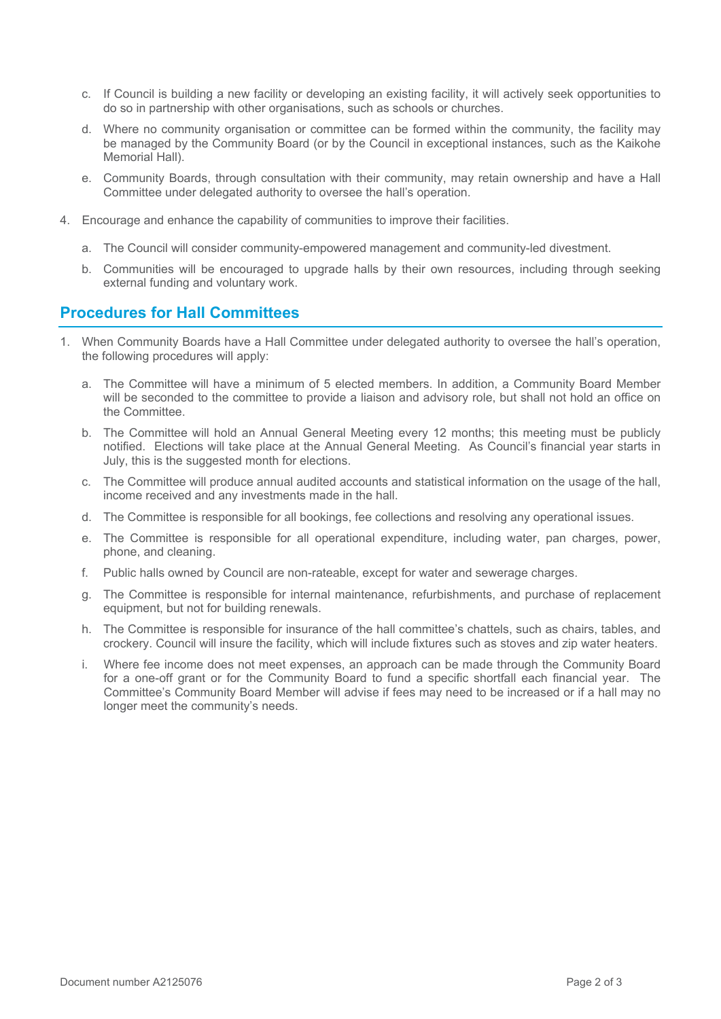- c. If Council is building a new facility or developing an existing facility, it will actively seek opportunities to do so in partnership with other organisations, such as schools or churches.
- d. Where no community organisation or committee can be formed within the community, the facility may be managed by the Community Board (or by the Council in exceptional instances, such as the Kaikohe Memorial Hall).
- e. Community Boards, through consultation with their community, may retain ownership and have a Hall Committee under delegated authority to oversee the hall's operation.
- 4. Encourage and enhance the capability of communities to improve their facilities.
	- a. The Council will consider community-empowered management and community-led divestment.
	- b. Communities will be encouraged to upgrade halls by their own resources, including through seeking external funding and voluntary work.

### **Procedures for Hall Committees**

- 1. When Community Boards have a Hall Committee under delegated authority to oversee the hall's operation, the following procedures will apply:
	- a. The Committee will have a minimum of 5 elected members. In addition, a Community Board Member will be seconded to the committee to provide a liaison and advisory role, but shall not hold an office on the Committee.
	- b. The Committee will hold an Annual General Meeting every 12 months; this meeting must be publicly notified. Elections will take place at the Annual General Meeting. As Council's financial year starts in July, this is the suggested month for elections.
	- c. The Committee will produce annual audited accounts and statistical information on the usage of the hall, income received and any investments made in the hall.
	- d. The Committee is responsible for all bookings, fee collections and resolving any operational issues.
	- e. The Committee is responsible for all operational expenditure, including water, pan charges, power, phone, and cleaning.
	- f. Public halls owned by Council are non-rateable, except for water and sewerage charges.
	- g. The Committee is responsible for internal maintenance, refurbishments, and purchase of replacement equipment, but not for building renewals.
	- h. The Committee is responsible for insurance of the hall committee's chattels, such as chairs, tables, and crockery. Council will insure the facility, which will include fixtures such as stoves and zip water heaters.
	- i. Where fee income does not meet expenses, an approach can be made through the Community Board for a one-off grant or for the Community Board to fund a specific shortfall each financial year. The Committee's Community Board Member will advise if fees may need to be increased or if a hall may no longer meet the community's needs.